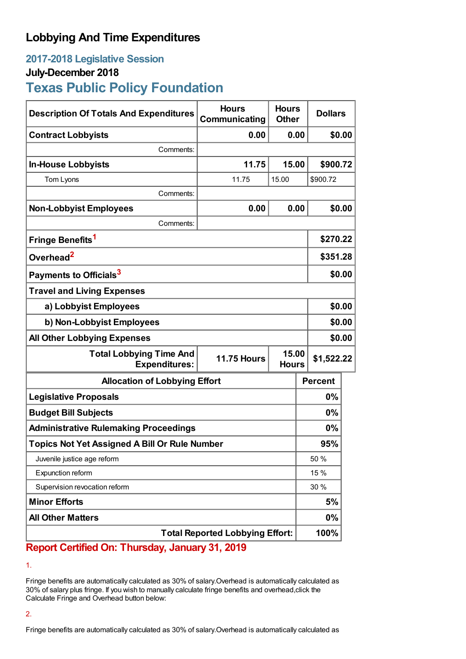## **Lobbying And Time Expenditures**

### **2017-2018 Legislative Session**

### **July-December 2018**

# **Texas Public Policy Foundation**

| <b>Description Of Totals And Expenditures</b>          | <b>Hours</b><br>Communicating | <b>Hours</b><br><b>Other</b> | <b>Dollars</b> |        |
|--------------------------------------------------------|-------------------------------|------------------------------|----------------|--------|
| <b>Contract Lobbyists</b>                              | 0.00                          | 0.00                         |                | \$0.00 |
| Comments:                                              |                               |                              |                |        |
| <b>In-House Lobbyists</b>                              | 11.75                         | 15.00                        | \$900.72       |        |
| Tom Lyons                                              | 11.75                         | 15.00                        | \$900.72       |        |
| Comments:                                              |                               |                              |                |        |
| <b>Non-Lobbyist Employees</b>                          | 0.00                          | 0.00                         | \$0.00         |        |
| Comments:                                              |                               |                              |                |        |
| Fringe Benefits <sup>1</sup>                           |                               |                              | \$270.22       |        |
| Overhead <sup>2</sup>                                  |                               |                              | \$351.28       |        |
| Payments to Officials <sup>3</sup>                     |                               |                              | \$0.00         |        |
| <b>Travel and Living Expenses</b>                      |                               |                              |                |        |
| a) Lobbyist Employees                                  |                               |                              |                | \$0.00 |
| b) Non-Lobbyist Employees                              |                               |                              |                | \$0.00 |
| <b>All Other Lobbying Expenses</b>                     |                               |                              | \$0.00         |        |
| <b>Total Lobbying Time And</b><br><b>Expenditures:</b> | <b>11.75 Hours</b>            | 15.00<br><b>Hours</b>        | \$1,522.22     |        |
| <b>Allocation of Lobbying Effort</b>                   |                               |                              | <b>Percent</b> |        |
| <b>Legislative Proposals</b>                           |                               |                              | 0%             |        |
| <b>Budget Bill Subjects</b>                            |                               |                              | 0%             |        |
| <b>Administrative Rulemaking Proceedings</b>           |                               |                              | 0%             |        |
| <b>Topics Not Yet Assigned A Bill Or Rule Number</b>   |                               |                              | 95%            |        |
| Juvenile justice age reform                            |                               |                              | 50 %           |        |
| Expunction reform                                      |                               |                              | 15 %           |        |
| Supervision revocation reform                          |                               |                              | 30 %           |        |
| <b>Minor Efforts</b>                                   |                               |                              | 5%             |        |
| <b>All Other Matters</b>                               |                               |                              | 0%             |        |
| <b>Total Reported Lobbying Effort:</b>                 |                               |                              |                |        |

### **Report Certified On: Thursday, January 31, 2019**

1.

Fringe benefits are automatically calculated as 30% of salary.Overhead is automatically calculated as 30% of salary plus fringe. If you wish to manually calculate fringe benefits and overhead,click the Calculate Fringe and Overhead button below:

#### 2.

Fringe benefits are automatically calculated as 30% of salary.Overhead is automatically calculated as